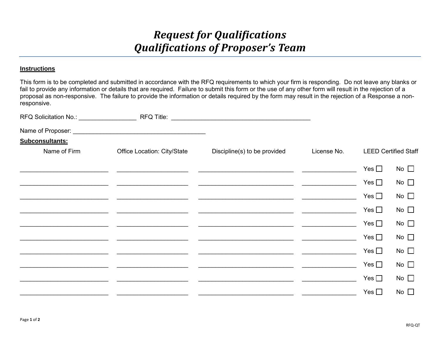## *Request for Qualifications Qualifications of Proposer's Team*

## **Instructions**

This form is to be completed and submitted in accordance with the RFQ requirements to which your firm is responding. Do not leave any blanks or fail to provide any information or details that are required. Failure to submit this form or the use of any other form will result in the rejection of a proposal as non-responsive. The failure to provide the information or details required by the form may result in the rejection of a Response a nonresponsive.

| RFQ Solicitation No.: ___________________ |                             | RFQ Title: Note: Note: Note: Note: Note: Note: Note: Note: Note: Note: Note: Note: Note: Note: Note: Note: Not |             |                             |              |
|-------------------------------------------|-----------------------------|----------------------------------------------------------------------------------------------------------------|-------------|-----------------------------|--------------|
|                                           |                             |                                                                                                                |             |                             |              |
| Subconsultants:                           |                             |                                                                                                                |             |                             |              |
| Name of Firm                              | Office Location: City/State | Discipline(s) to be provided                                                                                   | License No. | <b>LEED Certified Staff</b> |              |
|                                           |                             |                                                                                                                |             | Yes $\square$               | No $\square$ |
|                                           |                             |                                                                                                                |             | Yes $\square$               | No $\square$ |
|                                           |                             |                                                                                                                |             | Yes $\square$               | No $\square$ |
|                                           |                             |                                                                                                                |             | Yes $\Box$                  | No $\square$ |
|                                           |                             |                                                                                                                |             | Yes $\square$               | No $\square$ |
|                                           |                             |                                                                                                                |             | Yes $\Box$                  | No $\square$ |
|                                           |                             |                                                                                                                |             | Yes $\Box$                  | No $\square$ |
|                                           |                             |                                                                                                                |             | Yes $\Box$                  | No $\square$ |
|                                           |                             |                                                                                                                |             | Yes $\square$               | No $\square$ |
|                                           |                             |                                                                                                                |             | Yes $\square$               | No $\square$ |